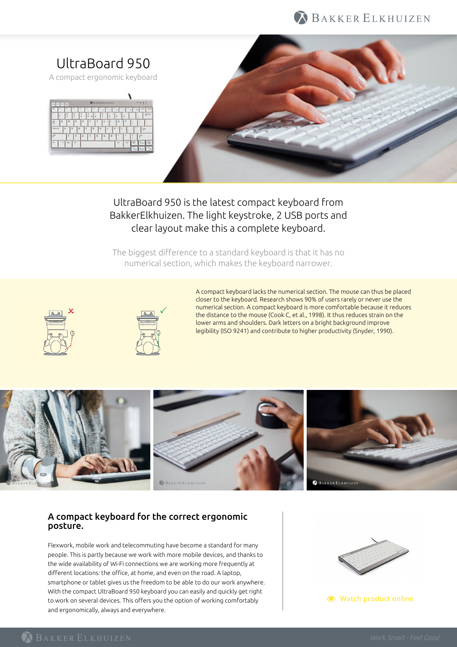



# UltraBoard 950 is the latest compact keyboard from BakkerElkhuizen. The light keystroke, 2 USB ports and clear layout make this a complete keyboard.

The biggest difference to a standard keyboard is that it has no numerical section, which makes the keyboard narrower.





A compact keyboard lacks the numerical section. The mouse can thus be placed closer to the keyboard. Research shows 90% of users rarely or never use the numerical section. A compact keyboard is more comfortable because it reduces the distance to the mouse (Cook C, et al., 1998). It thus reduces strain on the lower arms and shoulders. Dark letters on a bright background improve legibility (ISO 9241) and contribute to higher productivity (Snyder, 1990).



## A compact keyboard for the correct ergonomic posture.

Flexwork, mobile work and telecommuting have become a standard for many people. This is partly because we work with more mobile devices, and thanks to the wide availability of Wi-Fi connections we are working more frequently at different locations: the office, at home, and even on the road. A laptop, smartphone or tablet gives us the freedom to be able to do our work anywhere. With the compact UltraBoard 950 keyboard you can easily and quickly get right to work on several devices. This offers you the option of working comfortably and ergonomically, always and everywhere.



● Watch product online